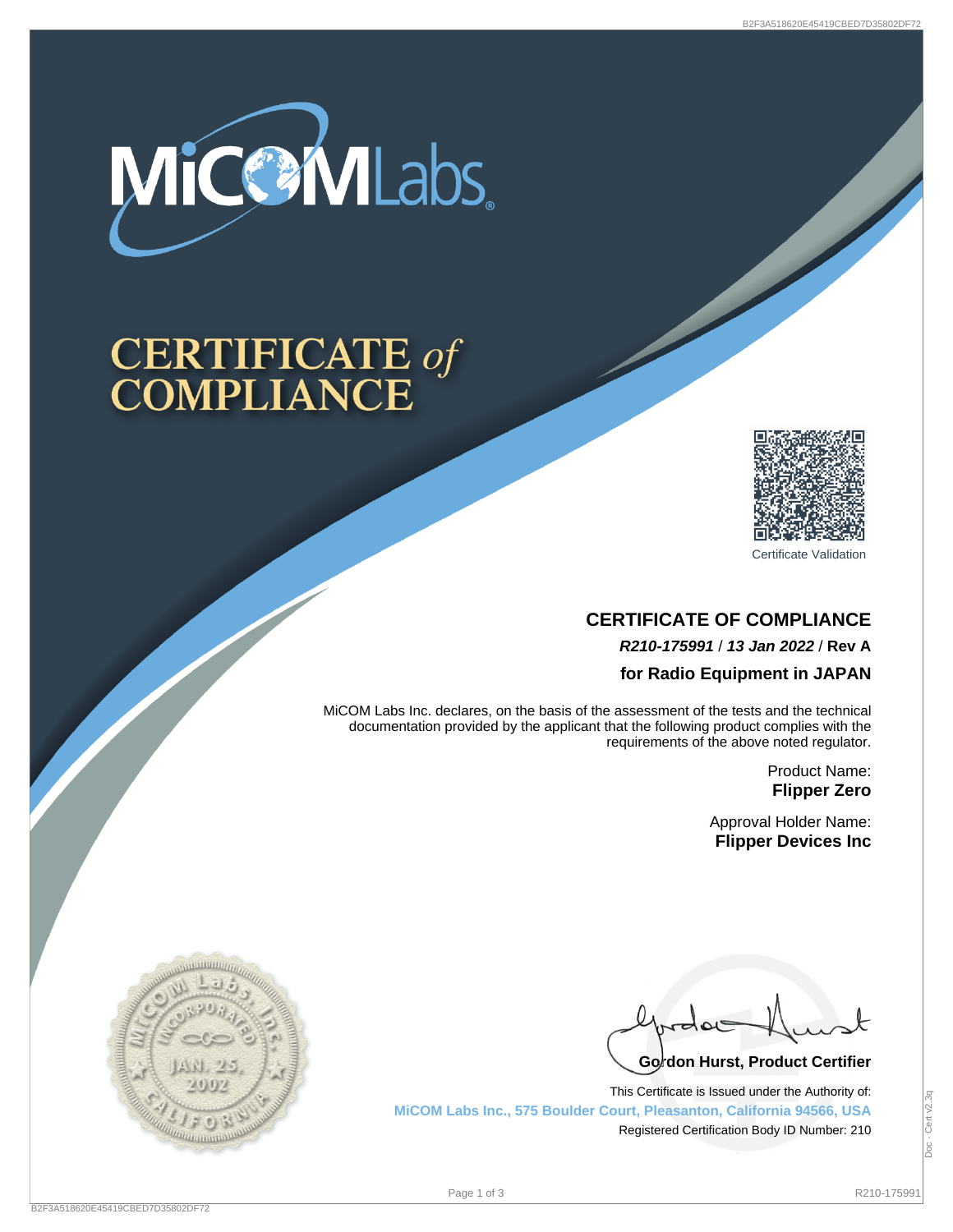

# **CERTIFICATE of<br>COMPLIANCE**



Certificate Validation

# **CERTIFICATE OF COMPLIANCE R210-175991** / **13 Jan 2022** / **Rev A for Radio Equipment in JAPAN**

MiCOM Labs Inc. declares, on the basis of the assessment of the tests and the technical documentation provided by the applicant that the following product complies with the requirements of the above noted regulator.

> Product Name: **Flipper Zero**

Approval Holder Name: **Flipper Devices Inc**

Go<sup>l</sup>don Hurst, Product Certifier

This Certificate is Issued under the Authority of: **MiCOM Labs Inc., 575 Boulder Court, Pleasanton, California 94566, USA** Registered Certification Body ID Number: 210

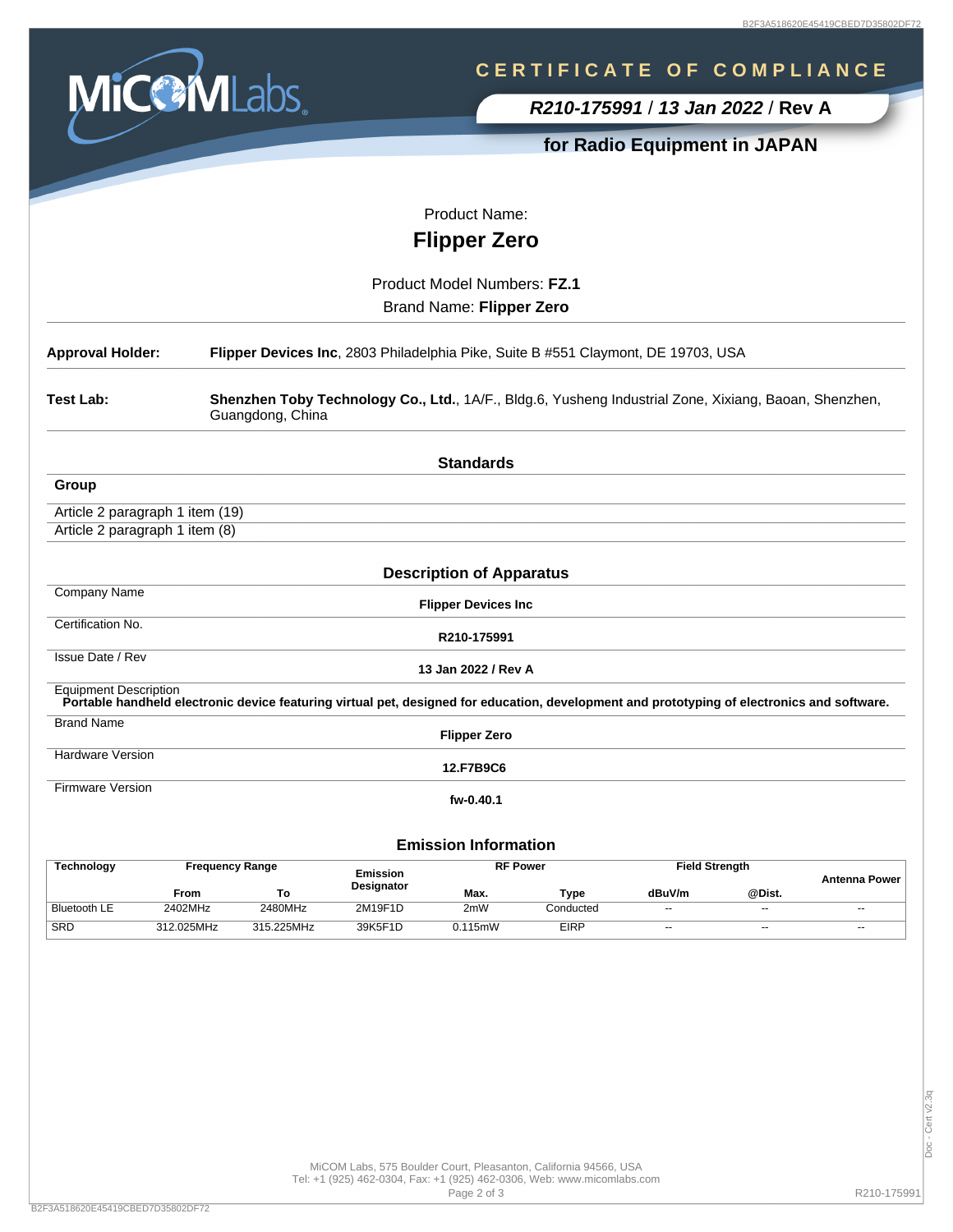

# **C E R T I F I C A T E O F C O M P L I A N C E**

**R210-175991** / **13 Jan 2022** / **Rev A**

## **for Radio Equipment in JAPAN**

Product Name:

**Flipper Zero**

Product Model Numbers: **FZ.1** Brand Name: **Flipper Zero**

| <b>Approval Holder:</b>                                                                                                                | Flipper Devices Inc, 2803 Philadelphia Pike, Suite B #551 Claymont, DE 19703, USA                                                           |  |  |  |  |  |  |
|----------------------------------------------------------------------------------------------------------------------------------------|---------------------------------------------------------------------------------------------------------------------------------------------|--|--|--|--|--|--|
| Test Lab:<br>Shenzhen Toby Technology Co., Ltd., 1A/F., Bldg.6, Yusheng Industrial Zone, Xixiang, Baoan, Shenzhen,<br>Guangdong, China |                                                                                                                                             |  |  |  |  |  |  |
|                                                                                                                                        | <b>Standards</b>                                                                                                                            |  |  |  |  |  |  |
| Group                                                                                                                                  |                                                                                                                                             |  |  |  |  |  |  |
| Article 2 paragraph 1 item (19)                                                                                                        |                                                                                                                                             |  |  |  |  |  |  |
| Article 2 paragraph 1 item (8)                                                                                                         |                                                                                                                                             |  |  |  |  |  |  |
|                                                                                                                                        |                                                                                                                                             |  |  |  |  |  |  |
|                                                                                                                                        | <b>Description of Apparatus</b>                                                                                                             |  |  |  |  |  |  |
| <b>Company Name</b>                                                                                                                    | <b>Flipper Devices Inc</b>                                                                                                                  |  |  |  |  |  |  |
| Certification No.                                                                                                                      | R210-175991                                                                                                                                 |  |  |  |  |  |  |
| Issue Date / Rev                                                                                                                       | 13 Jan 2022 / Rev A                                                                                                                         |  |  |  |  |  |  |
| <b>Equipment Description</b>                                                                                                           | Portable handheld electronic device featuring virtual pet, designed for education, development and prototyping of electronics and software. |  |  |  |  |  |  |
| <b>Brand Name</b>                                                                                                                      | <b>Flipper Zero</b>                                                                                                                         |  |  |  |  |  |  |
| Hardware Version                                                                                                                       | 12.F7B9C6                                                                                                                                   |  |  |  |  |  |  |
| <b>Firmware Version</b>                                                                                                                | fw-0.40.1                                                                                                                                   |  |  |  |  |  |  |
|                                                                                                                                        | <b>Emission Information</b>                                                                                                                 |  |  |  |  |  |  |

| <b>Technology</b>   | <b>Frequency Range</b> |            | <b>RF Power</b><br><b>Emission</b> |               | <b>Field Strength</b> |        | Antenna Power |       |
|---------------------|------------------------|------------|------------------------------------|---------------|-----------------------|--------|---------------|-------|
|                     | From                   | To         | <b>Designator</b>                  | Max.          | Type                  | dBuV/m | @Dist.        |       |
| <b>Bluetooth LE</b> | 2402MHz                | 2480MHz    | 2M19F1D                            | 2mW           | Conducted             | $\sim$ | $- -$         | $- -$ |
| SRD                 | 312.025MHz             | 315.225MHz | 39K5F1D                            | $0.115$ m $W$ | <b>EIRP</b>           | $- -$  | $- -$         | $-$   |